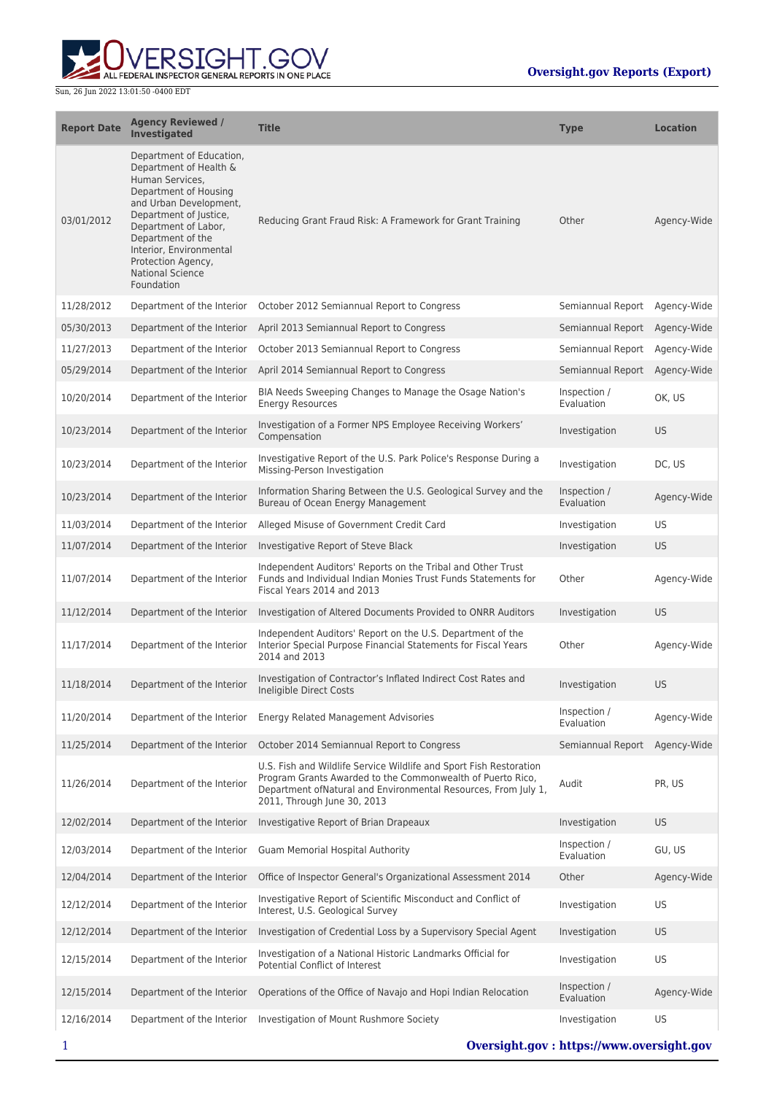

| <b>Report Date</b> | <b>Agency Reviewed /</b><br><b>Investigated</b>                                                                                                                                                                                                                                           | <b>Title</b>                                                                                                                                                                                                                       | <b>Type</b>                   | <b>Location</b> |
|--------------------|-------------------------------------------------------------------------------------------------------------------------------------------------------------------------------------------------------------------------------------------------------------------------------------------|------------------------------------------------------------------------------------------------------------------------------------------------------------------------------------------------------------------------------------|-------------------------------|-----------------|
| 03/01/2012         | Department of Education,<br>Department of Health &<br>Human Services,<br>Department of Housing<br>and Urban Development,<br>Department of Justice,<br>Department of Labor,<br>Department of the<br>Interior, Environmental<br>Protection Agency,<br><b>National Science</b><br>Foundation | Reducing Grant Fraud Risk: A Framework for Grant Training                                                                                                                                                                          | Other                         | Agency-Wide     |
| 11/28/2012         | Department of the Interior                                                                                                                                                                                                                                                                | October 2012 Semiannual Report to Congress                                                                                                                                                                                         | Semiannual Report             | Agency-Wide     |
| 05/30/2013         | Department of the Interior                                                                                                                                                                                                                                                                | April 2013 Semiannual Report to Congress                                                                                                                                                                                           | Semiannual Report Agency-Wide |                 |
| 11/27/2013         | Department of the Interior                                                                                                                                                                                                                                                                | October 2013 Semiannual Report to Congress                                                                                                                                                                                         | Semiannual Report             | Agency-Wide     |
| 05/29/2014         | Department of the Interior                                                                                                                                                                                                                                                                | April 2014 Semiannual Report to Congress                                                                                                                                                                                           | Semiannual Report             | Agency-Wide     |
| 10/20/2014         | Department of the Interior                                                                                                                                                                                                                                                                | BIA Needs Sweeping Changes to Manage the Osage Nation's<br><b>Energy Resources</b>                                                                                                                                                 | Inspection /<br>Evaluation    | OK, US          |
| 10/23/2014         | Department of the Interior                                                                                                                                                                                                                                                                | Investigation of a Former NPS Employee Receiving Workers'<br>Compensation                                                                                                                                                          | Investigation                 | US              |
| 10/23/2014         | Department of the Interior                                                                                                                                                                                                                                                                | Investigative Report of the U.S. Park Police's Response During a<br>Missing-Person Investigation                                                                                                                                   | Investigation                 | DC, US          |
| 10/23/2014         | Department of the Interior                                                                                                                                                                                                                                                                | Information Sharing Between the U.S. Geological Survey and the<br>Bureau of Ocean Energy Management                                                                                                                                | Inspection /<br>Evaluation    | Agency-Wide     |
| 11/03/2014         | Department of the Interior                                                                                                                                                                                                                                                                | Alleged Misuse of Government Credit Card                                                                                                                                                                                           | Investigation                 | US              |
| 11/07/2014         | Department of the Interior                                                                                                                                                                                                                                                                | Investigative Report of Steve Black                                                                                                                                                                                                | Investigation                 | <b>US</b>       |
| 11/07/2014         | Department of the Interior                                                                                                                                                                                                                                                                | Independent Auditors' Reports on the Tribal and Other Trust<br>Funds and Individual Indian Monies Trust Funds Statements for<br>Fiscal Years 2014 and 2013                                                                         | Other                         | Agency-Wide     |
| 11/12/2014         | Department of the Interior                                                                                                                                                                                                                                                                | Investigation of Altered Documents Provided to ONRR Auditors                                                                                                                                                                       | Investigation                 | <b>US</b>       |
| 11/17/2014         | Department of the Interior                                                                                                                                                                                                                                                                | Independent Auditors' Report on the U.S. Department of the<br>Interior Special Purpose Financial Statements for Fiscal Years<br>2014 and 2013                                                                                      | Other                         | Agency-Wide     |
| 11/18/2014         | Department of the Interior                                                                                                                                                                                                                                                                | Investigation of Contractor's Inflated Indirect Cost Rates and<br>Ineligible Direct Costs                                                                                                                                          | Investigation                 | <b>US</b>       |
| 11/20/2014         | Department of the Interior                                                                                                                                                                                                                                                                | <b>Energy Related Management Advisories</b>                                                                                                                                                                                        | Inspection /<br>Evaluation    | Agency-Wide     |
| 11/25/2014         | Department of the Interior                                                                                                                                                                                                                                                                | October 2014 Semiannual Report to Congress                                                                                                                                                                                         | Semiannual Report             | Agency-Wide     |
| 11/26/2014         | Department of the Interior                                                                                                                                                                                                                                                                | U.S. Fish and Wildlife Service Wildlife and Sport Fish Restoration<br>Program Grants Awarded to the Commonwealth of Puerto Rico,<br>Department of Natural and Environmental Resources, From July 1,<br>2011, Through June 30, 2013 | Audit                         | PR, US          |
| 12/02/2014         | Department of the Interior                                                                                                                                                                                                                                                                | Investigative Report of Brian Drapeaux                                                                                                                                                                                             | Investigation                 | <b>US</b>       |
| 12/03/2014         | Department of the Interior                                                                                                                                                                                                                                                                | <b>Guam Memorial Hospital Authority</b>                                                                                                                                                                                            | Inspection /<br>Evaluation    | GU, US          |
| 12/04/2014         | Department of the Interior                                                                                                                                                                                                                                                                | Office of Inspector General's Organizational Assessment 2014                                                                                                                                                                       | Other                         | Agency-Wide     |
| 12/12/2014         | Department of the Interior                                                                                                                                                                                                                                                                | Investigative Report of Scientific Misconduct and Conflict of<br>Interest, U.S. Geological Survey                                                                                                                                  | Investigation                 | US              |
| 12/12/2014         | Department of the Interior                                                                                                                                                                                                                                                                | Investigation of Credential Loss by a Supervisory Special Agent                                                                                                                                                                    | Investigation                 | <b>US</b>       |
| 12/15/2014         | Department of the Interior                                                                                                                                                                                                                                                                | Investigation of a National Historic Landmarks Official for<br>Potential Conflict of Interest                                                                                                                                      | Investigation                 | US              |
| 12/15/2014         | Department of the Interior                                                                                                                                                                                                                                                                | Operations of the Office of Navajo and Hopi Indian Relocation                                                                                                                                                                      | Inspection /<br>Evaluation    | Agency-Wide     |
| 12/16/2014         | Department of the Interior                                                                                                                                                                                                                                                                | Investigation of Mount Rushmore Society                                                                                                                                                                                            | Investigation                 | US              |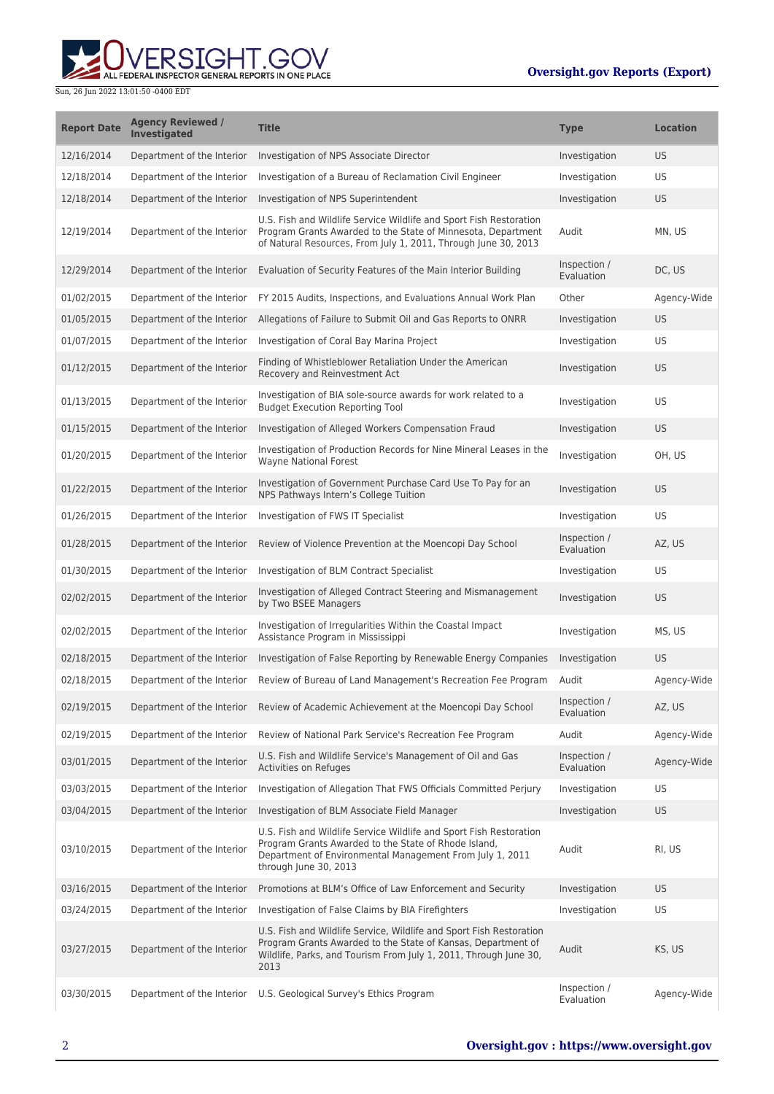

| <b>Report Date</b> | <b>Agency Reviewed /</b><br><b>Investigated</b> | <b>Title</b>                                                                                                                                                                                                    | <b>Type</b>                | <b>Location</b> |
|--------------------|-------------------------------------------------|-----------------------------------------------------------------------------------------------------------------------------------------------------------------------------------------------------------------|----------------------------|-----------------|
| 12/16/2014         | Department of the Interior                      | Investigation of NPS Associate Director                                                                                                                                                                         | Investigation              | <b>US</b>       |
| 12/18/2014         | Department of the Interior                      | Investigation of a Bureau of Reclamation Civil Engineer                                                                                                                                                         | Investigation              | US              |
| 12/18/2014         | Department of the Interior                      | Investigation of NPS Superintendent                                                                                                                                                                             | Investigation              | <b>US</b>       |
| 12/19/2014         | Department of the Interior                      | U.S. Fish and Wildlife Service Wildlife and Sport Fish Restoration<br>Program Grants Awarded to the State of Minnesota, Department<br>of Natural Resources, From July 1, 2011, Through June 30, 2013            | Audit                      | MN, US          |
| 12/29/2014         | Department of the Interior                      | Evaluation of Security Features of the Main Interior Building                                                                                                                                                   | Inspection /<br>Evaluation | DC, US          |
| 01/02/2015         | Department of the Interior                      | FY 2015 Audits, Inspections, and Evaluations Annual Work Plan                                                                                                                                                   | Other                      | Agency-Wide     |
| 01/05/2015         | Department of the Interior                      | Allegations of Failure to Submit Oil and Gas Reports to ONRR                                                                                                                                                    | Investigation              | US.             |
| 01/07/2015         | Department of the Interior                      | Investigation of Coral Bay Marina Project                                                                                                                                                                       | Investigation              | US              |
| 01/12/2015         | Department of the Interior                      | Finding of Whistleblower Retaliation Under the American<br>Recovery and Reinvestment Act                                                                                                                        | Investigation              | <b>US</b>       |
| 01/13/2015         | Department of the Interior                      | Investigation of BIA sole-source awards for work related to a<br><b>Budget Execution Reporting Tool</b>                                                                                                         | Investigation              | US              |
| 01/15/2015         | Department of the Interior                      | Investigation of Alleged Workers Compensation Fraud                                                                                                                                                             | Investigation              | <b>US</b>       |
| 01/20/2015         | Department of the Interior                      | Investigation of Production Records for Nine Mineral Leases in the<br><b>Wavne National Forest</b>                                                                                                              | Investigation              | OH. US          |
| 01/22/2015         | Department of the Interior                      | Investigation of Government Purchase Card Use To Pay for an<br>NPS Pathways Intern's College Tuition                                                                                                            | Investigation              | <b>US</b>       |
| 01/26/2015         | Department of the Interior                      | Investigation of FWS IT Specialist                                                                                                                                                                              | Investigation              | US              |
| 01/28/2015         | Department of the Interior                      | Review of Violence Prevention at the Moencopi Day School                                                                                                                                                        | Inspection /<br>Evaluation | AZ, US          |
| 01/30/2015         | Department of the Interior                      | Investigation of BLM Contract Specialist                                                                                                                                                                        | Investigation              | US              |
| 02/02/2015         | Department of the Interior                      | Investigation of Alleged Contract Steering and Mismanagement<br>by Two BSEE Managers                                                                                                                            | Investigation              | <b>US</b>       |
| 02/02/2015         | Department of the Interior                      | Investigation of Irregularities Within the Coastal Impact<br>Assistance Program in Mississippi                                                                                                                  | Investigation              | MS, US          |
| 02/18/2015         | Department of the Interior                      | Investigation of False Reporting by Renewable Energy Companies                                                                                                                                                  | Investigation              | <b>US</b>       |
| 02/18/2015         | Department of the Interior                      | Review of Bureau of Land Management's Recreation Fee Program                                                                                                                                                    | Audit                      | Agency-Wide     |
| 02/19/2015         |                                                 | Department of the Interior Review of Academic Achievement at the Moencopi Day School                                                                                                                            | Inspection /<br>Evaluation | AZ, US          |
| 02/19/2015         | Department of the Interior                      | Review of National Park Service's Recreation Fee Program                                                                                                                                                        | Audit                      | Agency-Wide     |
| 03/01/2015         | Department of the Interior                      | U.S. Fish and Wildlife Service's Management of Oil and Gas<br>Activities on Refuges                                                                                                                             | Inspection /<br>Evaluation | Agency-Wide     |
| 03/03/2015         | Department of the Interior                      | Investigation of Allegation That FWS Officials Committed Perjury                                                                                                                                                | Investigation              | US              |
| 03/04/2015         | Department of the Interior                      | Investigation of BLM Associate Field Manager                                                                                                                                                                    | Investigation              | US              |
| 03/10/2015         | Department of the Interior                      | U.S. Fish and Wildlife Service Wildlife and Sport Fish Restoration<br>Program Grants Awarded to the State of Rhode Island,<br>Department of Environmental Management From July 1, 2011<br>through June 30, 2013 | Audit                      | RI, US          |
| 03/16/2015         | Department of the Interior                      | Promotions at BLM's Office of Law Enforcement and Security                                                                                                                                                      | Investigation              | US.             |
| 03/24/2015         | Department of the Interior                      | Investigation of False Claims by BIA Firefighters                                                                                                                                                               | Investigation              | US              |
| 03/27/2015         | Department of the Interior                      | U.S. Fish and Wildlife Service, Wildlife and Sport Fish Restoration<br>Program Grants Awarded to the State of Kansas, Department of<br>Wildlife, Parks, and Tourism From July 1, 2011, Through June 30,<br>2013 | Audit                      | KS, US          |
| 03/30/2015         | Department of the Interior                      | U.S. Geological Survey's Ethics Program                                                                                                                                                                         | Inspection /<br>Evaluation | Agency-Wide     |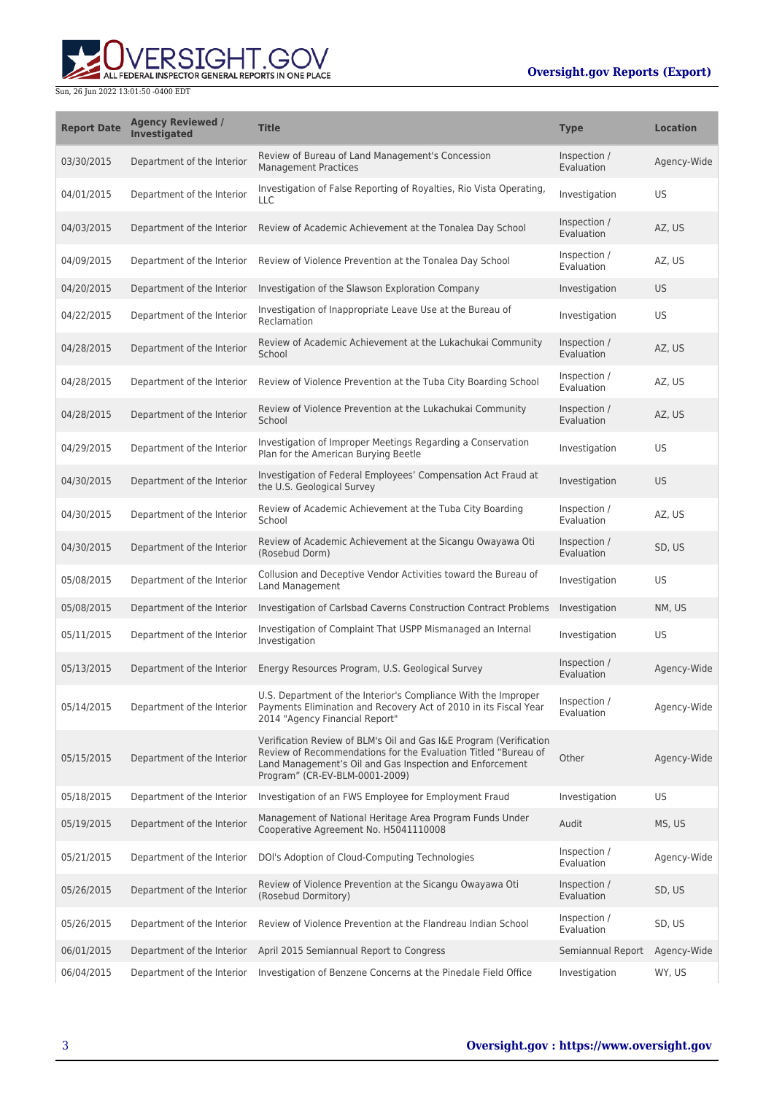

| <b>Report Date</b> | <b>Agency Reviewed /</b><br><b>Investigated</b> | <b>Title</b>                                                                                                                                                                                                                       | <b>Type</b>                | <b>Location</b> |
|--------------------|-------------------------------------------------|------------------------------------------------------------------------------------------------------------------------------------------------------------------------------------------------------------------------------------|----------------------------|-----------------|
| 03/30/2015         | Department of the Interior                      | Review of Bureau of Land Management's Concession<br><b>Management Practices</b>                                                                                                                                                    | Inspection /<br>Evaluation | Agency-Wide     |
| 04/01/2015         | Department of the Interior                      | Investigation of False Reporting of Royalties, Rio Vista Operating,<br><b>LLC</b>                                                                                                                                                  | Investigation              | US              |
| 04/03/2015         | Department of the Interior                      | Review of Academic Achievement at the Tonalea Day School                                                                                                                                                                           | Inspection /<br>Evaluation | AZ, US          |
| 04/09/2015         | Department of the Interior                      | Review of Violence Prevention at the Tonalea Day School                                                                                                                                                                            | Inspection /<br>Evaluation | AZ, US          |
| 04/20/2015         | Department of the Interior                      | Investigation of the Slawson Exploration Company                                                                                                                                                                                   | Investigation              | <b>US</b>       |
| 04/22/2015         | Department of the Interior                      | Investigation of Inappropriate Leave Use at the Bureau of<br>Reclamation                                                                                                                                                           | Investigation              | US              |
| 04/28/2015         | Department of the Interior                      | Review of Academic Achievement at the Lukachukai Community<br>School                                                                                                                                                               | Inspection /<br>Evaluation | AZ, US          |
| 04/28/2015         | Department of the Interior                      | Review of Violence Prevention at the Tuba City Boarding School                                                                                                                                                                     | Inspection /<br>Evaluation | AZ, US          |
| 04/28/2015         | Department of the Interior                      | Review of Violence Prevention at the Lukachukai Community<br>School                                                                                                                                                                | Inspection /<br>Evaluation | AZ, US          |
| 04/29/2015         | Department of the Interior                      | Investigation of Improper Meetings Regarding a Conservation<br>Plan for the American Burying Beetle                                                                                                                                | Investigation              | US              |
| 04/30/2015         | Department of the Interior                      | Investigation of Federal Employees' Compensation Act Fraud at<br>the U.S. Geological Survey                                                                                                                                        | Investigation              | <b>US</b>       |
| 04/30/2015         | Department of the Interior                      | Review of Academic Achievement at the Tuba City Boarding<br>School                                                                                                                                                                 | Inspection /<br>Evaluation | AZ, US          |
| 04/30/2015         | Department of the Interior                      | Review of Academic Achievement at the Sicangu Owayawa Oti<br>(Rosebud Dorm)                                                                                                                                                        | Inspection /<br>Evaluation | SD, US          |
| 05/08/2015         | Department of the Interior                      | Collusion and Deceptive Vendor Activities toward the Bureau of<br>Land Management                                                                                                                                                  | Investigation              | US              |
| 05/08/2015         | Department of the Interior                      | Investigation of Carlsbad Caverns Construction Contract Problems                                                                                                                                                                   | Investigation              | NM, US          |
| 05/11/2015         | Department of the Interior                      | Investigation of Complaint That USPP Mismanaged an Internal<br>Investigation                                                                                                                                                       | Investigation              | US              |
| 05/13/2015         | Department of the Interior                      | Energy Resources Program, U.S. Geological Survey                                                                                                                                                                                   | Inspection /<br>Evaluation | Agency-Wide     |
| 05/14/2015         | Department of the Interior                      | U.S. Department of the Interior's Compliance With the Improper<br>Payments Elimination and Recovery Act of 2010 in its Fiscal Year<br>2014 "Agency Financial Report"                                                               | Inspection /<br>Evaluation | Agency-Wide     |
| 05/15/2015         | Department of the Interior                      | Verification Review of BLM's Oil and Gas I&E Program (Verification<br>Review of Recommendations for the Evaluation Titled "Bureau of<br>Land Management's Oil and Gas Inspection and Enforcement<br>Program" (CR-EV-BLM-0001-2009) | Other                      | Agency-Wide     |
| 05/18/2015         | Department of the Interior                      | Investigation of an FWS Employee for Employment Fraud                                                                                                                                                                              | Investigation              | US              |
| 05/19/2015         | Department of the Interior                      | Management of National Heritage Area Program Funds Under<br>Cooperative Agreement No. H5041110008                                                                                                                                  | Audit                      | MS, US          |
| 05/21/2015         | Department of the Interior                      | DOI's Adoption of Cloud-Computing Technologies                                                                                                                                                                                     | Inspection /<br>Evaluation | Agency-Wide     |
| 05/26/2015         | Department of the Interior                      | Review of Violence Prevention at the Sicangu Owayawa Oti<br>(Rosebud Dormitory)                                                                                                                                                    | Inspection /<br>Evaluation | SD, US          |
| 05/26/2015         | Department of the Interior                      | Review of Violence Prevention at the Flandreau Indian School                                                                                                                                                                       | Inspection /<br>Evaluation | SD, US          |
| 06/01/2015         | Department of the Interior                      | April 2015 Semiannual Report to Congress                                                                                                                                                                                           | Semiannual Report          | Agency-Wide     |
| 06/04/2015         | Department of the Interior                      | Investigation of Benzene Concerns at the Pinedale Field Office                                                                                                                                                                     | Investigation              | WY, US          |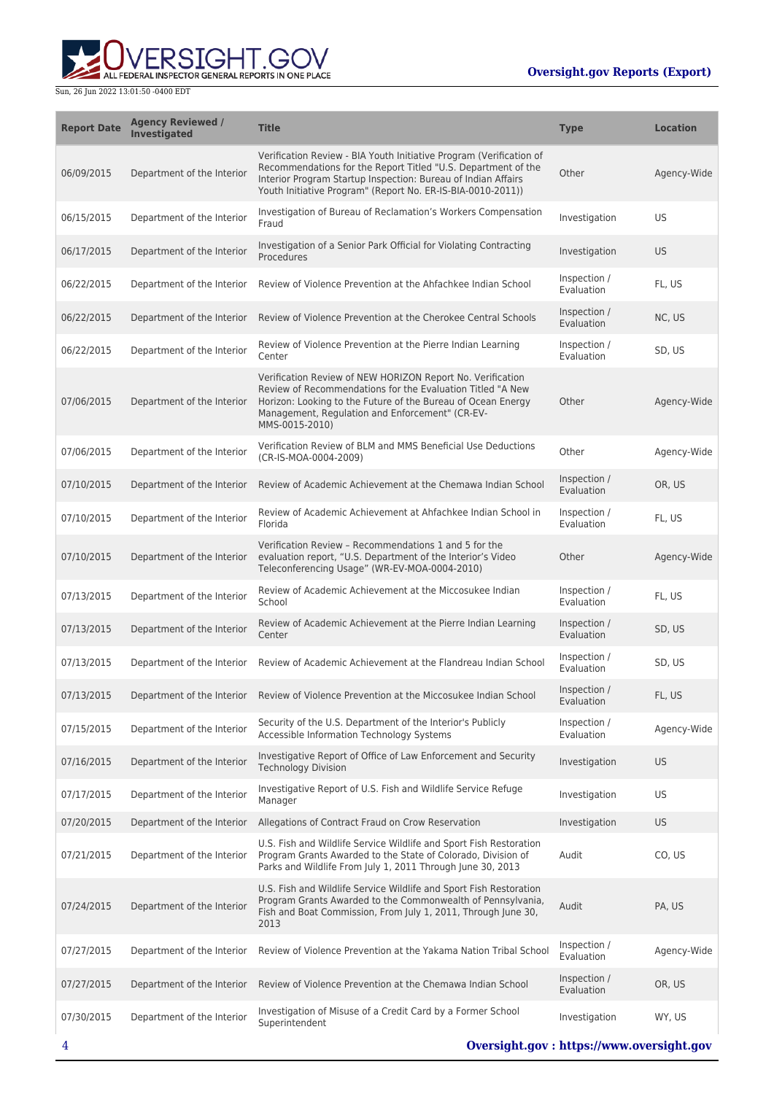

| <b>Report Date</b> | <b>Agency Reviewed /</b><br><b>Investigated</b> | <b>Title</b>                                                                                                                                                                                                                                                         | <b>Type</b>                | <b>Location</b> |
|--------------------|-------------------------------------------------|----------------------------------------------------------------------------------------------------------------------------------------------------------------------------------------------------------------------------------------------------------------------|----------------------------|-----------------|
| 06/09/2015         | Department of the Interior                      | Verification Review - BIA Youth Initiative Program (Verification of<br>Recommendations for the Report Titled "U.S. Department of the<br>Interior Program Startup Inspection: Bureau of Indian Affairs<br>Youth Initiative Program" (Report No. ER-IS-BIA-0010-2011)) | Other                      | Agency-Wide     |
| 06/15/2015         | Department of the Interior                      | Investigation of Bureau of Reclamation's Workers Compensation<br>Fraud                                                                                                                                                                                               | Investigation              | US.             |
| 06/17/2015         | Department of the Interior                      | Investigation of a Senior Park Official for Violating Contracting<br>Procedures                                                                                                                                                                                      | Investigation              | <b>US</b>       |
| 06/22/2015         | Department of the Interior                      | Review of Violence Prevention at the Ahfachkee Indian School                                                                                                                                                                                                         | Inspection /<br>Evaluation | FL, US          |
| 06/22/2015         | Department of the Interior                      | Review of Violence Prevention at the Cherokee Central Schools                                                                                                                                                                                                        | Inspection /<br>Evaluation | NC, US          |
| 06/22/2015         | Department of the Interior                      | Review of Violence Prevention at the Pierre Indian Learning<br>Center                                                                                                                                                                                                | Inspection /<br>Evaluation | SD, US          |
| 07/06/2015         | Department of the Interior                      | Verification Review of NEW HORIZON Report No. Verification<br>Review of Recommendations for the Evaluation Titled "A New<br>Horizon: Looking to the Future of the Bureau of Ocean Energy<br>Management, Regulation and Enforcement" (CR-EV-<br>MMS-0015-2010)        | Other                      | Agency-Wide     |
| 07/06/2015         | Department of the Interior                      | Verification Review of BLM and MMS Beneficial Use Deductions<br>(CR-IS-MOA-0004-2009)                                                                                                                                                                                | Other                      | Agency-Wide     |
| 07/10/2015         | Department of the Interior                      | Review of Academic Achievement at the Chemawa Indian School                                                                                                                                                                                                          | Inspection /<br>Evaluation | OR, US          |
| 07/10/2015         | Department of the Interior                      | Review of Academic Achievement at Ahfachkee Indian School in<br>Florida                                                                                                                                                                                              | Inspection /<br>Evaluation | FL, US          |
| 07/10/2015         | Department of the Interior                      | Verification Review - Recommendations 1 and 5 for the<br>evaluation report, "U.S. Department of the Interior's Video<br>Teleconferencing Usage" (WR-EV-MOA-0004-2010)                                                                                                | Other                      | Agency-Wide     |
| 07/13/2015         | Department of the Interior                      | Review of Academic Achievement at the Miccosukee Indian<br>School                                                                                                                                                                                                    | Inspection /<br>Evaluation | FL, US          |
| 07/13/2015         | Department of the Interior                      | Review of Academic Achievement at the Pierre Indian Learning<br>Center                                                                                                                                                                                               | Inspection /<br>Evaluation | SD, US          |
| 07/13/2015         | Department of the Interior                      | Review of Academic Achievement at the Flandreau Indian School                                                                                                                                                                                                        | Inspection /<br>Evaluation | SD, US          |
| 07/13/2015         | Department of the Interior                      | Review of Violence Prevention at the Miccosukee Indian School                                                                                                                                                                                                        | Inspection /<br>Evaluation | FL, US          |
| 07/15/2015         | Department of the Interior                      | Security of the U.S. Department of the Interior's Publicly<br>Accessible Information Technology Systems                                                                                                                                                              | Inspection /<br>Evaluation | Agency-Wide     |
| 07/16/2015         | Department of the Interior                      | Investigative Report of Office of Law Enforcement and Security<br><b>Technology Division</b>                                                                                                                                                                         | Investigation              | US.             |
| 07/17/2015         | Department of the Interior                      | Investigative Report of U.S. Fish and Wildlife Service Refuge<br>Manager                                                                                                                                                                                             | Investigation              | US              |
| 07/20/2015         | Department of the Interior                      | Allegations of Contract Fraud on Crow Reservation                                                                                                                                                                                                                    | Investigation              | US.             |
| 07/21/2015         | Department of the Interior                      | U.S. Fish and Wildlife Service Wildlife and Sport Fish Restoration<br>Program Grants Awarded to the State of Colorado, Division of<br>Parks and Wildlife From July 1, 2011 Through June 30, 2013                                                                     | Audit                      | CO, US          |
| 07/24/2015         | Department of the Interior                      | U.S. Fish and Wildlife Service Wildlife and Sport Fish Restoration<br>Program Grants Awarded to the Commonwealth of Pennsylvania,<br>Fish and Boat Commission, From July 1, 2011, Through June 30,<br>2013                                                           | Audit                      | PA, US          |
| 07/27/2015         | Department of the Interior                      | Review of Violence Prevention at the Yakama Nation Tribal School                                                                                                                                                                                                     | Inspection /<br>Evaluation | Agency-Wide     |
| 07/27/2015         | Department of the Interior                      | Review of Violence Prevention at the Chemawa Indian School                                                                                                                                                                                                           | Inspection /<br>Evaluation | OR, US          |
| 07/30/2015         | Department of the Interior                      | Investigation of Misuse of a Credit Card by a Former School<br>Superintendent                                                                                                                                                                                        | Investigation              | WY, US          |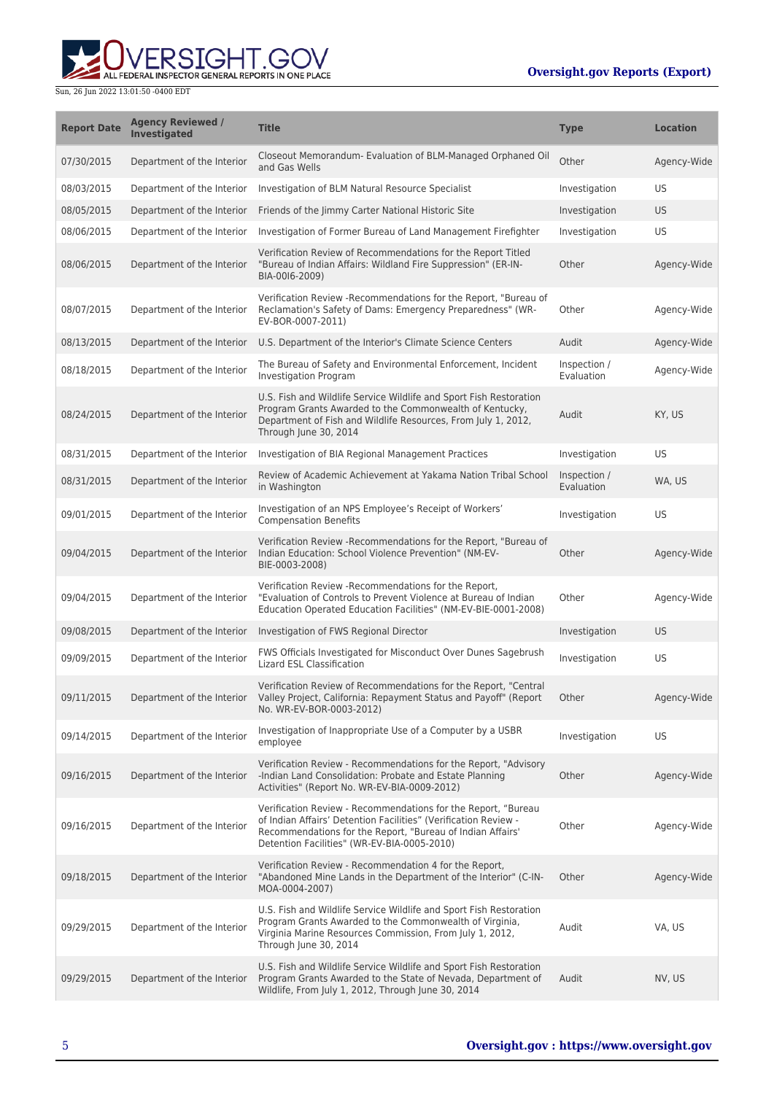

| <b>Report Date</b> | <b>Agency Reviewed /</b><br><b>Investigated</b> | <b>Title</b>                                                                                                                                                                                                                                  | <b>Type</b>                | <b>Location</b> |
|--------------------|-------------------------------------------------|-----------------------------------------------------------------------------------------------------------------------------------------------------------------------------------------------------------------------------------------------|----------------------------|-----------------|
| 07/30/2015         | Department of the Interior                      | Closeout Memorandum- Evaluation of BLM-Managed Orphaned Oil<br>and Gas Wells                                                                                                                                                                  | Other                      | Agency-Wide     |
| 08/03/2015         | Department of the Interior                      | Investigation of BLM Natural Resource Specialist                                                                                                                                                                                              | Investigation              | US              |
| 08/05/2015         | Department of the Interior                      | Friends of the Jimmy Carter National Historic Site                                                                                                                                                                                            | Investigation              | US.             |
| 08/06/2015         | Department of the Interior                      | Investigation of Former Bureau of Land Management Firefighter                                                                                                                                                                                 | Investigation              | US              |
| 08/06/2015         | Department of the Interior                      | Verification Review of Recommendations for the Report Titled<br>"Bureau of Indian Affairs: Wildland Fire Suppression" (ER-IN-<br>BIA-0016-2009)                                                                                               | Other                      | Agency-Wide     |
| 08/07/2015         | Department of the Interior                      | Verification Review - Recommendations for the Report, "Bureau of<br>Reclamation's Safety of Dams: Emergency Preparedness" (WR-<br>EV-BOR-0007-2011)                                                                                           | Other                      | Agency-Wide     |
| 08/13/2015         | Department of the Interior                      | U.S. Department of the Interior's Climate Science Centers                                                                                                                                                                                     | Audit                      | Agency-Wide     |
| 08/18/2015         | Department of the Interior                      | The Bureau of Safety and Environmental Enforcement, Incident<br><b>Investigation Program</b>                                                                                                                                                  | Inspection /<br>Evaluation | Agency-Wide     |
| 08/24/2015         | Department of the Interior                      | U.S. Fish and Wildlife Service Wildlife and Sport Fish Restoration<br>Program Grants Awarded to the Commonwealth of Kentucky,<br>Department of Fish and Wildlife Resources, From July 1, 2012,<br>Through June 30, 2014                       | Audit                      | KY, US          |
| 08/31/2015         | Department of the Interior                      | Investigation of BIA Regional Management Practices                                                                                                                                                                                            | Investigation              | US              |
| 08/31/2015         | Department of the Interior                      | Review of Academic Achievement at Yakama Nation Tribal School<br>in Washington                                                                                                                                                                | Inspection /<br>Evaluation | WA, US          |
| 09/01/2015         | Department of the Interior                      | Investigation of an NPS Employee's Receipt of Workers'<br><b>Compensation Benefits</b>                                                                                                                                                        | Investigation              | US              |
| 09/04/2015         | Department of the Interior                      | Verification Review - Recommendations for the Report, "Bureau of<br>Indian Education: School Violence Prevention" (NM-EV-<br>BIE-0003-2008)                                                                                                   | Other                      | Agency-Wide     |
| 09/04/2015         | Department of the Interior                      | Verification Review - Recommendations for the Report,<br>"Evaluation of Controls to Prevent Violence at Bureau of Indian<br>Education Operated Education Facilities" (NM-EV-BIE-0001-2008)                                                    | Other                      | Agency-Wide     |
| 09/08/2015         | Department of the Interior                      | Investigation of FWS Regional Director                                                                                                                                                                                                        | Investigation              | US              |
| 09/09/2015         | Department of the Interior                      | FWS Officials Investigated for Misconduct Over Dunes Sagebrush<br><b>Lizard ESL Classification</b>                                                                                                                                            | Investigation              | US              |
| 09/11/2015         |                                                 | Verification Review of Recommendations for the Report, "Central<br>Department of the Interior Valley Project, California: Repayment Status and Payoff" (Report<br>No. WR-EV-BOR-0003-2012)                                                    | Other                      | Agency-Wide     |
| 09/14/2015         | Department of the Interior                      | Investigation of Inappropriate Use of a Computer by a USBR<br>employee                                                                                                                                                                        | Investigation              | US              |
| 09/16/2015         | Department of the Interior                      | Verification Review - Recommendations for the Report, "Advisory<br>-Indian Land Consolidation: Probate and Estate Planning<br>Activities" (Report No. WR-EV-BIA-0009-2012)                                                                    | Other                      | Agency-Wide     |
| 09/16/2015         | Department of the Interior                      | Verification Review - Recommendations for the Report, "Bureau<br>of Indian Affairs' Detention Facilities" (Verification Review -<br>Recommendations for the Report, "Bureau of Indian Affairs'<br>Detention Facilities" (WR-EV-BIA-0005-2010) | Other                      | Agency-Wide     |
| 09/18/2015         | Department of the Interior                      | Verification Review - Recommendation 4 for the Report,<br>"Abandoned Mine Lands in the Department of the Interior" (C-IN-<br>MOA-0004-2007)                                                                                                   | Other                      | Agency-Wide     |
| 09/29/2015         | Department of the Interior                      | U.S. Fish and Wildlife Service Wildlife and Sport Fish Restoration<br>Program Grants Awarded to the Commonwealth of Virginia,<br>Virginia Marine Resources Commission, From July 1, 2012,<br>Through June 30, 2014                            | Audit                      | VA, US          |
| 09/29/2015         | Department of the Interior                      | U.S. Fish and Wildlife Service Wildlife and Sport Fish Restoration<br>Program Grants Awarded to the State of Nevada, Department of<br>Wildlife, From July 1, 2012, Through June 30, 2014                                                      | Audit                      | NV, US          |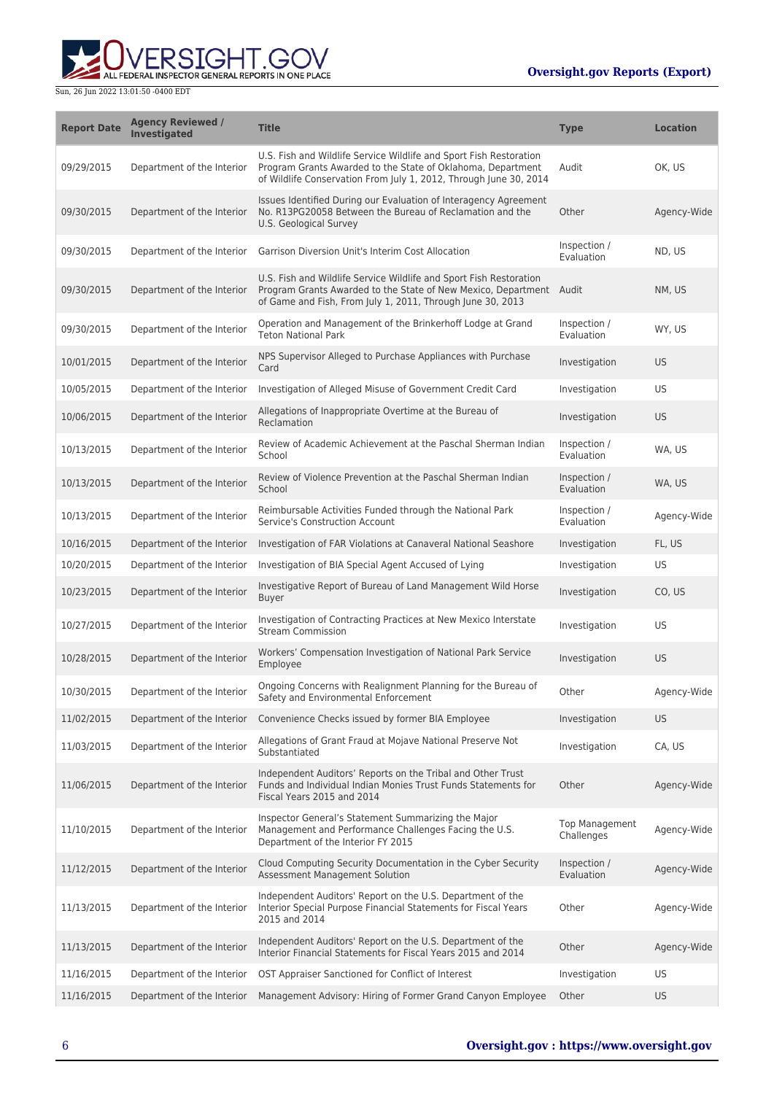

| <b>Report Date</b> | <b>Agency Reviewed /</b><br><b>Investigated</b> | <b>Title</b>                                                                                                                                                                                            | <b>Type</b>                         | <b>Location</b> |
|--------------------|-------------------------------------------------|---------------------------------------------------------------------------------------------------------------------------------------------------------------------------------------------------------|-------------------------------------|-----------------|
| 09/29/2015         | Department of the Interior                      | U.S. Fish and Wildlife Service Wildlife and Sport Fish Restoration<br>Program Grants Awarded to the State of Oklahoma, Department<br>of Wildlife Conservation From July 1, 2012, Through June 30, 2014  | Audit                               | OK, US          |
| 09/30/2015         | Department of the Interior                      | Issues Identified During our Evaluation of Interagency Agreement<br>No. R13PG20058 Between the Bureau of Reclamation and the<br>U.S. Geological Survey                                                  | Other                               | Agency-Wide     |
| 09/30/2015         | Department of the Interior                      | Garrison Diversion Unit's Interim Cost Allocation                                                                                                                                                       | Inspection /<br>Evaluation          | ND, US          |
| 09/30/2015         | Department of the Interior                      | U.S. Fish and Wildlife Service Wildlife and Sport Fish Restoration<br>Program Grants Awarded to the State of New Mexico, Department Audit<br>of Game and Fish, From July 1, 2011, Through June 30, 2013 |                                     | NM, US          |
| 09/30/2015         | Department of the Interior                      | Operation and Management of the Brinkerhoff Lodge at Grand<br><b>Teton National Park</b>                                                                                                                | Inspection /<br>Evaluation          | WY, US          |
| 10/01/2015         | Department of the Interior                      | NPS Supervisor Alleged to Purchase Appliances with Purchase<br>Card                                                                                                                                     | Investigation                       | <b>US</b>       |
| 10/05/2015         | Department of the Interior                      | Investigation of Alleged Misuse of Government Credit Card                                                                                                                                               | Investigation                       | US              |
| 10/06/2015         | Department of the Interior                      | Allegations of Inappropriate Overtime at the Bureau of<br>Reclamation                                                                                                                                   | Investigation                       | <b>US</b>       |
| 10/13/2015         | Department of the Interior                      | Review of Academic Achievement at the Paschal Sherman Indian<br>School                                                                                                                                  | Inspection /<br>Evaluation          | WA, US          |
| 10/13/2015         | Department of the Interior                      | Review of Violence Prevention at the Paschal Sherman Indian<br>School                                                                                                                                   | Inspection /<br>Evaluation          | WA, US          |
| 10/13/2015         | Department of the Interior                      | Reimbursable Activities Funded through the National Park<br>Service's Construction Account                                                                                                              | Inspection /<br>Evaluation          | Agency-Wide     |
| 10/16/2015         | Department of the Interior                      | Investigation of FAR Violations at Canaveral National Seashore                                                                                                                                          | Investigation                       | FL, US          |
| 10/20/2015         | Department of the Interior                      | Investigation of BIA Special Agent Accused of Lying                                                                                                                                                     | Investigation                       | US              |
| 10/23/2015         | Department of the Interior                      | Investigative Report of Bureau of Land Management Wild Horse<br><b>Buyer</b>                                                                                                                            | Investigation                       | CO, US          |
| 10/27/2015         | Department of the Interior                      | Investigation of Contracting Practices at New Mexico Interstate<br><b>Stream Commission</b>                                                                                                             | Investigation                       | US              |
| 10/28/2015         | Department of the Interior                      | Workers' Compensation Investigation of National Park Service<br>Employee                                                                                                                                | Investigation                       | <b>US</b>       |
| 10/30/2015         | Department of the Interior                      | Ongoing Concerns with Realignment Planning for the Bureau of<br>Safety and Environmental Enforcement                                                                                                    | Other                               | Agency-Wide     |
| 11/02/2015         | Department of the Interior                      | Convenience Checks issued by former BIA Employee                                                                                                                                                        | Investigation                       | US              |
| 11/03/2015         | Department of the Interior                      | Allegations of Grant Fraud at Mojave National Preserve Not<br>Substantiated                                                                                                                             | Investigation                       | CA, US          |
| 11/06/2015         | Department of the Interior                      | Independent Auditors' Reports on the Tribal and Other Trust<br>Funds and Individual Indian Monies Trust Funds Statements for<br>Fiscal Years 2015 and 2014                                              | Other                               | Agency-Wide     |
| 11/10/2015         | Department of the Interior                      | Inspector General's Statement Summarizing the Major<br>Management and Performance Challenges Facing the U.S.<br>Department of the Interior FY 2015                                                      | <b>Top Management</b><br>Challenges | Agency-Wide     |
| 11/12/2015         | Department of the Interior                      | Cloud Computing Security Documentation in the Cyber Security<br>Assessment Management Solution                                                                                                          | Inspection /<br>Evaluation          | Agency-Wide     |
| 11/13/2015         | Department of the Interior                      | Independent Auditors' Report on the U.S. Department of the<br>Interior Special Purpose Financial Statements for Fiscal Years<br>2015 and 2014                                                           | Other                               | Agency-Wide     |
| 11/13/2015         | Department of the Interior                      | Independent Auditors' Report on the U.S. Department of the<br>Interior Financial Statements for Fiscal Years 2015 and 2014                                                                              | Other                               | Agency-Wide     |
| 11/16/2015         | Department of the Interior                      | OST Appraiser Sanctioned for Conflict of Interest                                                                                                                                                       | Investigation                       | US              |
| 11/16/2015         | Department of the Interior                      | Management Advisory: Hiring of Former Grand Canyon Employee                                                                                                                                             | Other                               | <b>US</b>       |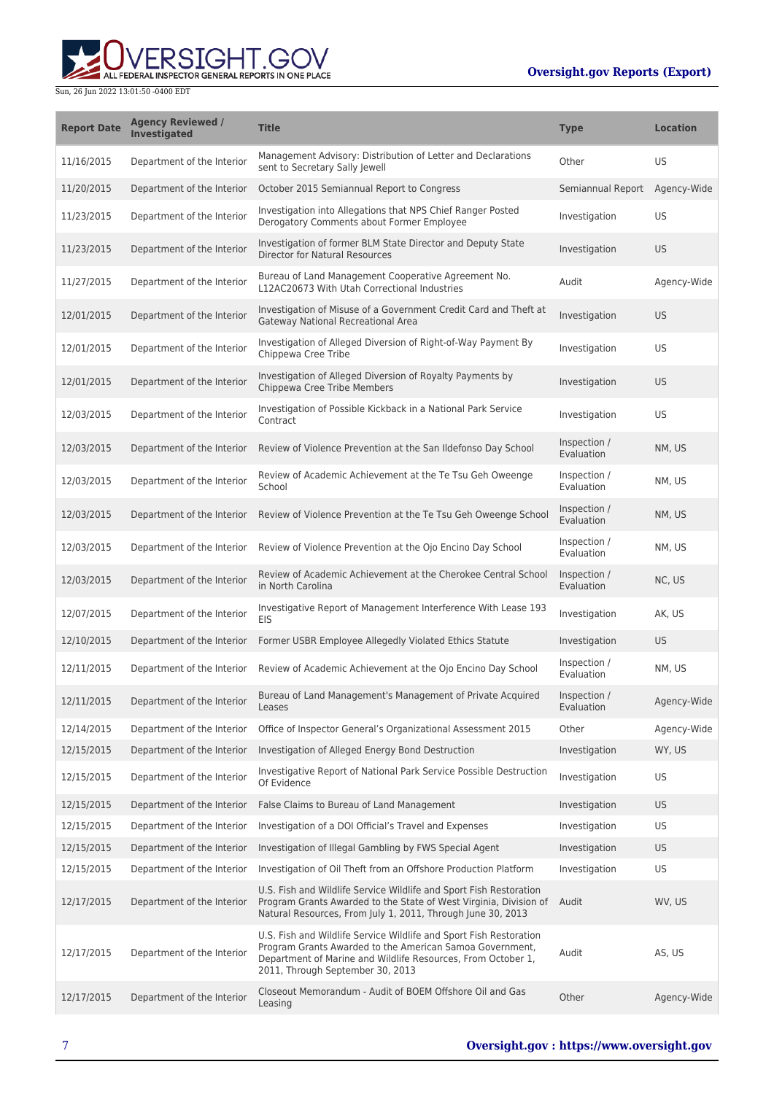ALL FEDERAL INSPECTOR GENERAL REPORTS IN ONE PLACE

| <b>Report Date</b> | <b>Agency Reviewed /</b><br><b>Investigated</b> | <b>Title</b>                                                                                                                                                                                                                       | <b>Type</b>                | <b>Location</b> |
|--------------------|-------------------------------------------------|------------------------------------------------------------------------------------------------------------------------------------------------------------------------------------------------------------------------------------|----------------------------|-----------------|
| 11/16/2015         | Department of the Interior                      | Management Advisory: Distribution of Letter and Declarations<br>sent to Secretary Sally Jewell                                                                                                                                     | Other                      | US              |
| 11/20/2015         | Department of the Interior                      | October 2015 Semiannual Report to Congress                                                                                                                                                                                         | Semiannual Report          | Agency-Wide     |
| 11/23/2015         | Department of the Interior                      | Investigation into Allegations that NPS Chief Ranger Posted<br>Derogatory Comments about Former Employee                                                                                                                           | Investigation              | US              |
| 11/23/2015         | Department of the Interior                      | Investigation of former BLM State Director and Deputy State<br><b>Director for Natural Resources</b>                                                                                                                               | Investigation              | <b>US</b>       |
| 11/27/2015         | Department of the Interior                      | Bureau of Land Management Cooperative Agreement No.<br>L12AC20673 With Utah Correctional Industries                                                                                                                                | Audit                      | Agency-Wide     |
| 12/01/2015         | Department of the Interior                      | Investigation of Misuse of a Government Credit Card and Theft at<br><b>Gateway National Recreational Area</b>                                                                                                                      | Investigation              | US.             |
| 12/01/2015         | Department of the Interior                      | Investigation of Alleged Diversion of Right-of-Way Payment By<br>Chippewa Cree Tribe                                                                                                                                               | Investigation              | US              |
| 12/01/2015         | Department of the Interior                      | Investigation of Alleged Diversion of Royalty Payments by<br>Chippewa Cree Tribe Members                                                                                                                                           | Investigation              | <b>US</b>       |
| 12/03/2015         | Department of the Interior                      | Investigation of Possible Kickback in a National Park Service<br>Contract                                                                                                                                                          | Investigation              | US              |
| 12/03/2015         | Department of the Interior                      | Review of Violence Prevention at the San Ildefonso Day School                                                                                                                                                                      | Inspection /<br>Evaluation | NM, US          |
| 12/03/2015         | Department of the Interior                      | Review of Academic Achievement at the Te Tsu Geh Oweenge<br>School                                                                                                                                                                 | Inspection /<br>Evaluation | NM, US          |
| 12/03/2015         | Department of the Interior                      | Review of Violence Prevention at the Te Tsu Geh Oweenge School                                                                                                                                                                     | Inspection /<br>Evaluation | NM, US          |
| 12/03/2015         | Department of the Interior                      | Review of Violence Prevention at the Ojo Encino Day School                                                                                                                                                                         | Inspection /<br>Evaluation | NM, US          |
| 12/03/2015         | Department of the Interior                      | Review of Academic Achievement at the Cherokee Central School<br>in North Carolina                                                                                                                                                 | Inspection /<br>Evaluation | NC, US          |
| 12/07/2015         | Department of the Interior                      | Investigative Report of Management Interference With Lease 193<br><b>EIS</b>                                                                                                                                                       | Investigation              | AK, US          |
| 12/10/2015         | Department of the Interior                      | Former USBR Employee Allegedly Violated Ethics Statute                                                                                                                                                                             | Investigation              | US.             |
| 12/11/2015         | Department of the Interior                      | Review of Academic Achievement at the Ojo Encino Day School                                                                                                                                                                        | Inspection /<br>Evaluation | NM, US          |
| 12/11/2015         | Department of the Interior                      | Bureau of Land Management's Management of Private Acquired<br>Leases                                                                                                                                                               | Inspection /<br>Evaluation | Agency-Wide     |
| 12/14/2015         | Department of the Interior                      | Office of Inspector General's Organizational Assessment 2015                                                                                                                                                                       | Other                      | Agency-Wide     |
| 12/15/2015         | Department of the Interior                      | Investigation of Alleged Energy Bond Destruction                                                                                                                                                                                   | Investigation              | WY, US          |
| 12/15/2015         | Department of the Interior                      | Investigative Report of National Park Service Possible Destruction<br>Of Evidence                                                                                                                                                  | Investigation              | US              |
| 12/15/2015         | Department of the Interior                      | False Claims to Bureau of Land Management                                                                                                                                                                                          | Investigation              | US.             |
| 12/15/2015         | Department of the Interior                      | Investigation of a DOI Official's Travel and Expenses                                                                                                                                                                              | Investigation              | US              |
| 12/15/2015         | Department of the Interior                      | Investigation of Illegal Gambling by FWS Special Agent                                                                                                                                                                             | Investigation              | US              |
| 12/15/2015         | Department of the Interior                      | Investigation of Oil Theft from an Offshore Production Platform                                                                                                                                                                    | Investigation              | US              |
| 12/17/2015         | Department of the Interior                      | U.S. Fish and Wildlife Service Wildlife and Sport Fish Restoration<br>Program Grants Awarded to the State of West Virginia, Division of<br>Natural Resources, From July 1, 2011, Through June 30, 2013                             | Audit                      | WV, US          |
| 12/17/2015         | Department of the Interior                      | U.S. Fish and Wildlife Service Wildlife and Sport Fish Restoration<br>Program Grants Awarded to the American Samoa Government,<br>Department of Marine and Wildlife Resources, From October 1,<br>2011, Through September 30, 2013 | Audit                      | AS, US          |
| 12/17/2015         | Department of the Interior                      | Closeout Memorandum - Audit of BOEM Offshore Oil and Gas<br>Leasing                                                                                                                                                                | Other                      | Agency-Wide     |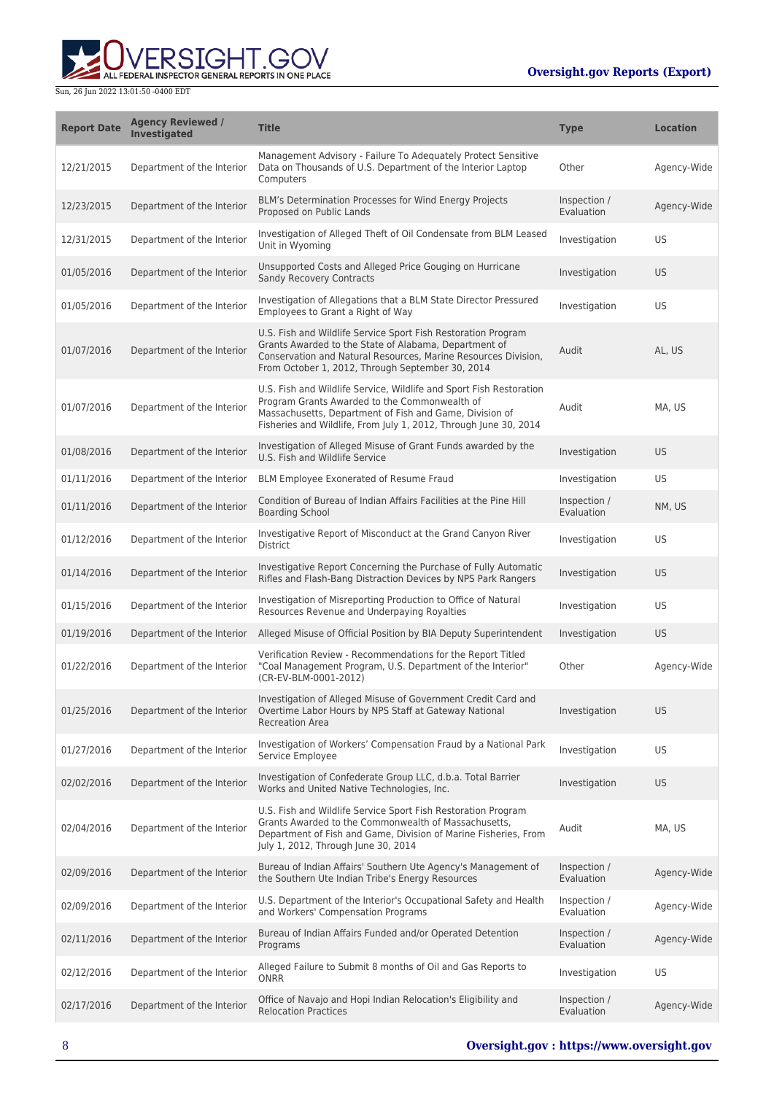

| <b>Report Date</b> | <b>Agency Reviewed /</b><br>Investigated | <b>Title</b>                                                                                                                                                                                                                                        | <b>Type</b>                | <b>Location</b> |
|--------------------|------------------------------------------|-----------------------------------------------------------------------------------------------------------------------------------------------------------------------------------------------------------------------------------------------------|----------------------------|-----------------|
| 12/21/2015         | Department of the Interior               | Management Advisory - Failure To Adequately Protect Sensitive<br>Data on Thousands of U.S. Department of the Interior Laptop<br>Computers                                                                                                           | Other                      | Agency-Wide     |
| 12/23/2015         | Department of the Interior               | BLM's Determination Processes for Wind Energy Projects<br>Proposed on Public Lands                                                                                                                                                                  | Inspection /<br>Evaluation | Agency-Wide     |
| 12/31/2015         | Department of the Interior               | Investigation of Alleged Theft of Oil Condensate from BLM Leased<br>Unit in Wyoming                                                                                                                                                                 | Investigation              | US              |
| 01/05/2016         | Department of the Interior               | Unsupported Costs and Alleged Price Gouging on Hurricane<br><b>Sandy Recovery Contracts</b>                                                                                                                                                         | Investigation              | <b>US</b>       |
| 01/05/2016         | Department of the Interior               | Investigation of Allegations that a BLM State Director Pressured<br>Employees to Grant a Right of Way                                                                                                                                               | Investigation              | US              |
| 01/07/2016         | Department of the Interior               | U.S. Fish and Wildlife Service Sport Fish Restoration Program<br>Grants Awarded to the State of Alabama, Department of<br>Conservation and Natural Resources, Marine Resources Division,<br>From October 1, 2012, Through September 30, 2014        | Audit                      | AL, US          |
| 01/07/2016         | Department of the Interior               | U.S. Fish and Wildlife Service, Wildlife and Sport Fish Restoration<br>Program Grants Awarded to the Commonwealth of<br>Massachusetts, Department of Fish and Game, Division of<br>Fisheries and Wildlife, From July 1, 2012, Through June 30, 2014 | Audit                      | MA, US          |
| 01/08/2016         | Department of the Interior               | Investigation of Alleged Misuse of Grant Funds awarded by the<br>U.S. Fish and Wildlife Service                                                                                                                                                     | Investigation              | <b>US</b>       |
| 01/11/2016         | Department of the Interior               | BLM Employee Exonerated of Resume Fraud                                                                                                                                                                                                             | Investigation              | US              |
| 01/11/2016         | Department of the Interior               | Condition of Bureau of Indian Affairs Facilities at the Pine Hill<br><b>Boarding School</b>                                                                                                                                                         | Inspection /<br>Evaluation | NM, US          |
| 01/12/2016         | Department of the Interior               | Investigative Report of Misconduct at the Grand Canyon River<br>District                                                                                                                                                                            | Investigation              | US              |
| 01/14/2016         | Department of the Interior               | Investigative Report Concerning the Purchase of Fully Automatic<br>Rifles and Flash-Bang Distraction Devices by NPS Park Rangers                                                                                                                    | Investigation              | <b>US</b>       |
| 01/15/2016         | Department of the Interior               | Investigation of Misreporting Production to Office of Natural<br>Resources Revenue and Underpaying Royalties                                                                                                                                        | Investigation              | US              |
| 01/19/2016         | Department of the Interior               | Alleged Misuse of Official Position by BIA Deputy Superintendent                                                                                                                                                                                    | Investigation              | <b>US</b>       |
| 01/22/2016         | Department of the Interior               | Verification Review - Recommendations for the Report Titled<br>"Coal Management Program, U.S. Department of the Interior"<br>(CR-EV-BLM-0001-2012)                                                                                                  | Other                      | Agency-Wide     |
| 01/25/2016         | Department of the Interior               | Investigation of Alleged Misuse of Government Credit Card and<br>Overtime Labor Hours by NPS Staff at Gateway National<br><b>Recreation Area</b>                                                                                                    | Investigation              | <b>US</b>       |
| 01/27/2016         | Department of the Interior               | Investigation of Workers' Compensation Fraud by a National Park<br>Service Employee                                                                                                                                                                 | Investigation              | US              |
| 02/02/2016         | Department of the Interior               | Investigation of Confederate Group LLC, d.b.a. Total Barrier<br>Works and United Native Technologies, Inc.                                                                                                                                          | Investigation              | <b>US</b>       |
| 02/04/2016         | Department of the Interior               | U.S. Fish and Wildlife Service Sport Fish Restoration Program<br>Grants Awarded to the Commonwealth of Massachusetts,<br>Department of Fish and Game, Division of Marine Fisheries, From<br>July 1, 2012, Through June 30, 2014                     | Audit                      | MA, US          |
| 02/09/2016         | Department of the Interior               | Bureau of Indian Affairs' Southern Ute Agency's Management of<br>the Southern Ute Indian Tribe's Energy Resources                                                                                                                                   | Inspection /<br>Evaluation | Agency-Wide     |
| 02/09/2016         | Department of the Interior               | U.S. Department of the Interior's Occupational Safety and Health<br>and Workers' Compensation Programs                                                                                                                                              | Inspection /<br>Evaluation | Agency-Wide     |
| 02/11/2016         | Department of the Interior               | Bureau of Indian Affairs Funded and/or Operated Detention<br>Programs                                                                                                                                                                               | Inspection /<br>Evaluation | Agency-Wide     |
| 02/12/2016         | Department of the Interior               | Alleged Failure to Submit 8 months of Oil and Gas Reports to<br>ONRR                                                                                                                                                                                | Investigation              | US              |
| 02/17/2016         | Department of the Interior               | Office of Navajo and Hopi Indian Relocation's Eligibility and<br><b>Relocation Practices</b>                                                                                                                                                        | Inspection /<br>Evaluation | Agency-Wide     |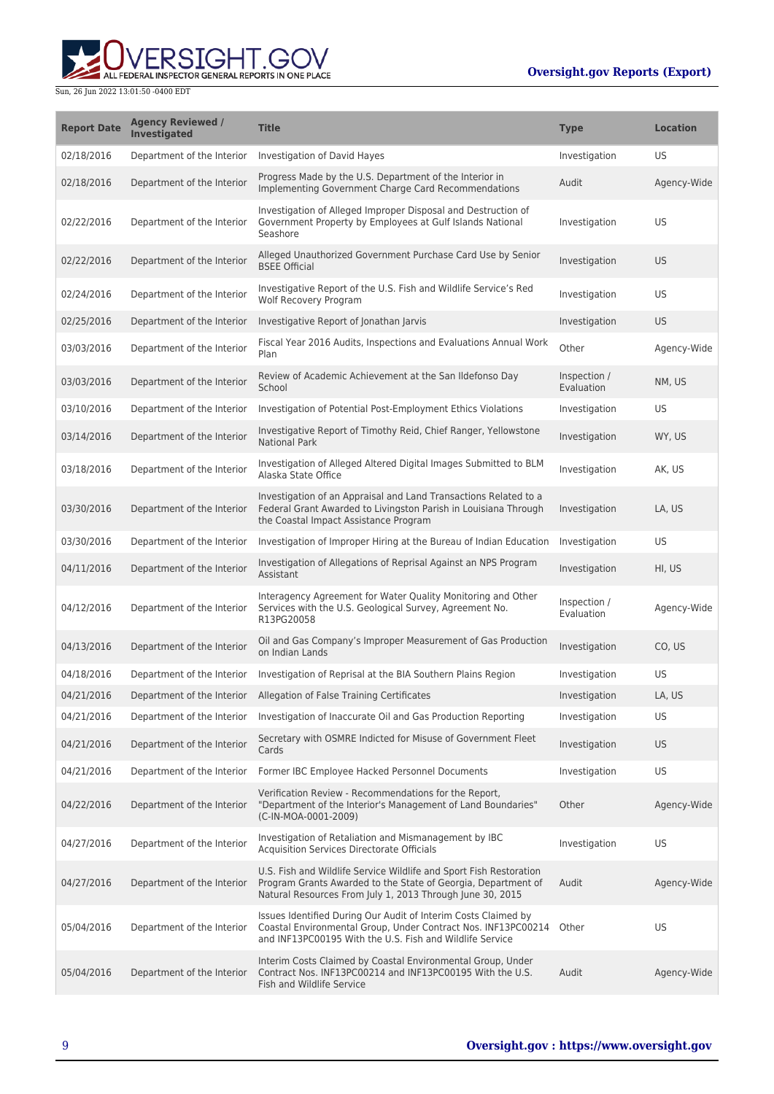ERSIGHT.GOV ALL FEDERAL INSPECTOR GENERAL REPORTS IN ONE PLACE

| <b>Report Date</b> | <b>Agency Reviewed /</b><br><b>Investigated</b> | <b>Title</b>                                                                                                                                                                                     | <b>Type</b>                | <b>Location</b> |
|--------------------|-------------------------------------------------|--------------------------------------------------------------------------------------------------------------------------------------------------------------------------------------------------|----------------------------|-----------------|
| 02/18/2016         | Department of the Interior                      | Investigation of David Hayes                                                                                                                                                                     | Investigation              | US              |
| 02/18/2016         | Department of the Interior                      | Progress Made by the U.S. Department of the Interior in<br>Implementing Government Charge Card Recommendations                                                                                   | Audit                      | Agency-Wide     |
| 02/22/2016         | Department of the Interior                      | Investigation of Alleged Improper Disposal and Destruction of<br>Government Property by Employees at Gulf Islands National<br>Seashore                                                           | Investigation              | US              |
| 02/22/2016         | Department of the Interior                      | Alleged Unauthorized Government Purchase Card Use by Senior<br><b>BSEE Official</b>                                                                                                              | Investigation              | <b>US</b>       |
| 02/24/2016         | Department of the Interior                      | Investigative Report of the U.S. Fish and Wildlife Service's Red<br>Wolf Recovery Program                                                                                                        | Investigation              | US              |
| 02/25/2016         | Department of the Interior                      | Investigative Report of Jonathan Jarvis                                                                                                                                                          | Investigation              | <b>US</b>       |
| 03/03/2016         | Department of the Interior                      | Fiscal Year 2016 Audits, Inspections and Evaluations Annual Work<br>Plan                                                                                                                         | Other                      | Agency-Wide     |
| 03/03/2016         | Department of the Interior                      | Review of Academic Achievement at the San Ildefonso Day<br>School                                                                                                                                | Inspection /<br>Evaluation | NM, US          |
| 03/10/2016         | Department of the Interior                      | Investigation of Potential Post-Employment Ethics Violations                                                                                                                                     | Investigation              | US              |
| 03/14/2016         | Department of the Interior                      | Investigative Report of Timothy Reid, Chief Ranger, Yellowstone<br><b>National Park</b>                                                                                                          | Investigation              | WY, US          |
| 03/18/2016         | Department of the Interior                      | Investigation of Alleged Altered Digital Images Submitted to BLM<br>Alaska State Office                                                                                                          | Investigation              | AK, US          |
| 03/30/2016         | Department of the Interior                      | Investigation of an Appraisal and Land Transactions Related to a<br>Federal Grant Awarded to Livingston Parish in Louisiana Through<br>the Coastal Impact Assistance Program                     | Investigation              | LA, US          |
| 03/30/2016         | Department of the Interior                      | Investigation of Improper Hiring at the Bureau of Indian Education                                                                                                                               | Investigation              | US              |
| 04/11/2016         | Department of the Interior                      | Investigation of Allegations of Reprisal Against an NPS Program<br>Assistant                                                                                                                     | Investigation              | HI, US          |
| 04/12/2016         | Department of the Interior                      | Interagency Agreement for Water Quality Monitoring and Other<br>Services with the U.S. Geological Survey, Agreement No.<br>R13PG20058                                                            | Inspection /<br>Evaluation | Agency-Wide     |
| 04/13/2016         | Department of the Interior                      | Oil and Gas Company's Improper Measurement of Gas Production<br>on Indian Lands                                                                                                                  | Investigation              | CO, US          |
| 04/18/2016         | Department of the Interior                      | Investigation of Reprisal at the BIA Southern Plains Region                                                                                                                                      | Investigation              | US              |
| 04/21/2016         | Department of the Interior                      | Allegation of False Training Certificates                                                                                                                                                        | Investigation              | LA, US          |
| 04/21/2016         | Department of the Interior                      | Investigation of Inaccurate Oil and Gas Production Reporting                                                                                                                                     | Investigation              | US              |
| 04/21/2016         | Department of the Interior                      | Secretary with OSMRE Indicted for Misuse of Government Fleet<br>Cards                                                                                                                            | Investigation              | <b>US</b>       |
| 04/21/2016         | Department of the Interior                      | Former IBC Employee Hacked Personnel Documents                                                                                                                                                   | Investigation              | US              |
| 04/22/2016         | Department of the Interior                      | Verification Review - Recommendations for the Report,<br>"Department of the Interior's Management of Land Boundaries"<br>(C-IN-MOA-0001-2009)                                                    | Other                      | Agency-Wide     |
| 04/27/2016         | Department of the Interior                      | Investigation of Retaliation and Mismanagement by IBC<br>Acquisition Services Directorate Officials                                                                                              | Investigation              | US              |
| 04/27/2016         | Department of the Interior                      | U.S. Fish and Wildlife Service Wildlife and Sport Fish Restoration<br>Program Grants Awarded to the State of Georgia, Department of<br>Natural Resources From July 1, 2013 Through June 30, 2015 | Audit                      | Agency-Wide     |
| 05/04/2016         | Department of the Interior                      | Issues Identified During Our Audit of Interim Costs Claimed by<br>Coastal Environmental Group, Under Contract Nos. INF13PC00214<br>and INF13PC00195 With the U.S. Fish and Wildlife Service      | Other                      | US              |
| 05/04/2016         | Department of the Interior                      | Interim Costs Claimed by Coastal Environmental Group, Under<br>Contract Nos. INF13PC00214 and INF13PC00195 With the U.S.<br>Fish and Wildlife Service                                            | Audit                      | Agency-Wide     |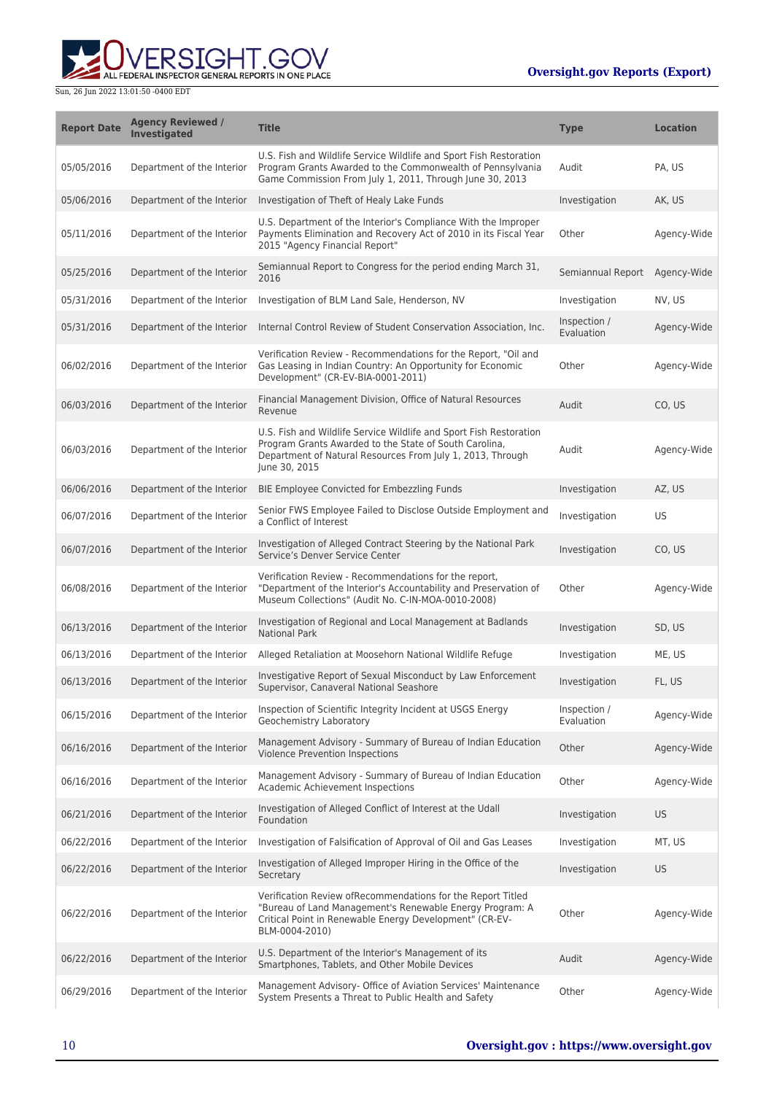

| <b>Report Date</b> | <b>Agency Reviewed /</b><br><b>Investigated</b> | <b>Title</b>                                                                                                                                                                                                | <b>Type</b>                   | <b>Location</b> |
|--------------------|-------------------------------------------------|-------------------------------------------------------------------------------------------------------------------------------------------------------------------------------------------------------------|-------------------------------|-----------------|
| 05/05/2016         | Department of the Interior                      | U.S. Fish and Wildlife Service Wildlife and Sport Fish Restoration<br>Program Grants Awarded to the Commonwealth of Pennsylvania<br>Game Commission From July 1, 2011, Through June 30, 2013                | Audit                         | PA, US          |
| 05/06/2016         | Department of the Interior                      | Investigation of Theft of Healy Lake Funds                                                                                                                                                                  | Investigation                 | AK, US          |
| 05/11/2016         | Department of the Interior                      | U.S. Department of the Interior's Compliance With the Improper<br>Payments Elimination and Recovery Act of 2010 in its Fiscal Year<br>2015 "Agency Financial Report"                                        | Other                         | Agency-Wide     |
| 05/25/2016         | Department of the Interior                      | Semiannual Report to Congress for the period ending March 31,<br>2016                                                                                                                                       | Semiannual Report Agency-Wide |                 |
| 05/31/2016         | Department of the Interior                      | Investigation of BLM Land Sale, Henderson, NV                                                                                                                                                               | Investigation                 | NV, US          |
| 05/31/2016         | Department of the Interior                      | Internal Control Review of Student Conservation Association, Inc.                                                                                                                                           | Inspection /<br>Evaluation    | Agency-Wide     |
| 06/02/2016         | Department of the Interior                      | Verification Review - Recommendations for the Report, "Oil and<br>Gas Leasing in Indian Country: An Opportunity for Economic<br>Development" (CR-EV-BIA-0001-2011)                                          | Other                         | Agency-Wide     |
| 06/03/2016         | Department of the Interior                      | Financial Management Division, Office of Natural Resources<br>Revenue                                                                                                                                       | Audit                         | CO, US          |
| 06/03/2016         | Department of the Interior                      | U.S. Fish and Wildlife Service Wildlife and Sport Fish Restoration<br>Program Grants Awarded to the State of South Carolina,<br>Department of Natural Resources From July 1, 2013, Through<br>June 30, 2015 | Audit                         | Agency-Wide     |
| 06/06/2016         | Department of the Interior                      | BIE Employee Convicted for Embezzling Funds                                                                                                                                                                 | Investigation                 | AZ, US          |
| 06/07/2016         | Department of the Interior                      | Senior FWS Employee Failed to Disclose Outside Employment and<br>a Conflict of Interest                                                                                                                     | Investigation                 | US              |
| 06/07/2016         | Department of the Interior                      | Investigation of Alleged Contract Steering by the National Park<br>Service's Denver Service Center                                                                                                          | Investigation                 | CO, US          |
| 06/08/2016         | Department of the Interior                      | Verification Review - Recommendations for the report,<br>"Department of the Interior's Accountability and Preservation of<br>Museum Collections" (Audit No. C-IN-MOA-0010-2008)                             | Other                         | Agency-Wide     |
| 06/13/2016         | Department of the Interior                      | Investigation of Regional and Local Management at Badlands<br><b>National Park</b>                                                                                                                          | Investigation                 | SD, US          |
| 06/13/2016         | Department of the Interior                      | Alleged Retaliation at Moosehorn National Wildlife Refuge                                                                                                                                                   | Investigation                 | ME, US          |
| 06/13/2016         | Department of the Interior                      | Investigative Report of Sexual Misconduct by Law Enforcement<br>Supervisor, Canaveral National Seashore                                                                                                     | Investigation                 | FL, US          |
| 06/15/2016         | Department of the Interior                      | Inspection of Scientific Integrity Incident at USGS Energy<br>Geochemistry Laboratory                                                                                                                       | Inspection /<br>Evaluation    | Agency-Wide     |
| 06/16/2016         | Department of the Interior                      | Management Advisory - Summary of Bureau of Indian Education<br>Violence Prevention Inspections                                                                                                              | Other                         | Agency-Wide     |
| 06/16/2016         | Department of the Interior                      | Management Advisory - Summary of Bureau of Indian Education<br>Academic Achievement Inspections                                                                                                             | Other                         | Agency-Wide     |
| 06/21/2016         | Department of the Interior                      | Investigation of Alleged Conflict of Interest at the Udall<br>Foundation                                                                                                                                    | Investigation                 | <b>US</b>       |
| 06/22/2016         | Department of the Interior                      | Investigation of Falsification of Approval of Oil and Gas Leases                                                                                                                                            | Investigation                 | MT, US          |
| 06/22/2016         | Department of the Interior                      | Investigation of Alleged Improper Hiring in the Office of the<br>Secretary                                                                                                                                  | Investigation                 | <b>US</b>       |
| 06/22/2016         | Department of the Interior                      | Verification Review of Recommendations for the Report Titled<br>"Bureau of Land Management's Renewable Energy Program: A<br>Critical Point in Renewable Energy Development" (CR-EV-<br>BLM-0004-2010)       | Other                         | Agency-Wide     |
| 06/22/2016         | Department of the Interior                      | U.S. Department of the Interior's Management of its<br>Smartphones, Tablets, and Other Mobile Devices                                                                                                       | Audit                         | Agency-Wide     |
| 06/29/2016         | Department of the Interior                      | Management Advisory- Office of Aviation Services' Maintenance<br>System Presents a Threat to Public Health and Safety                                                                                       | Other                         | Agency-Wide     |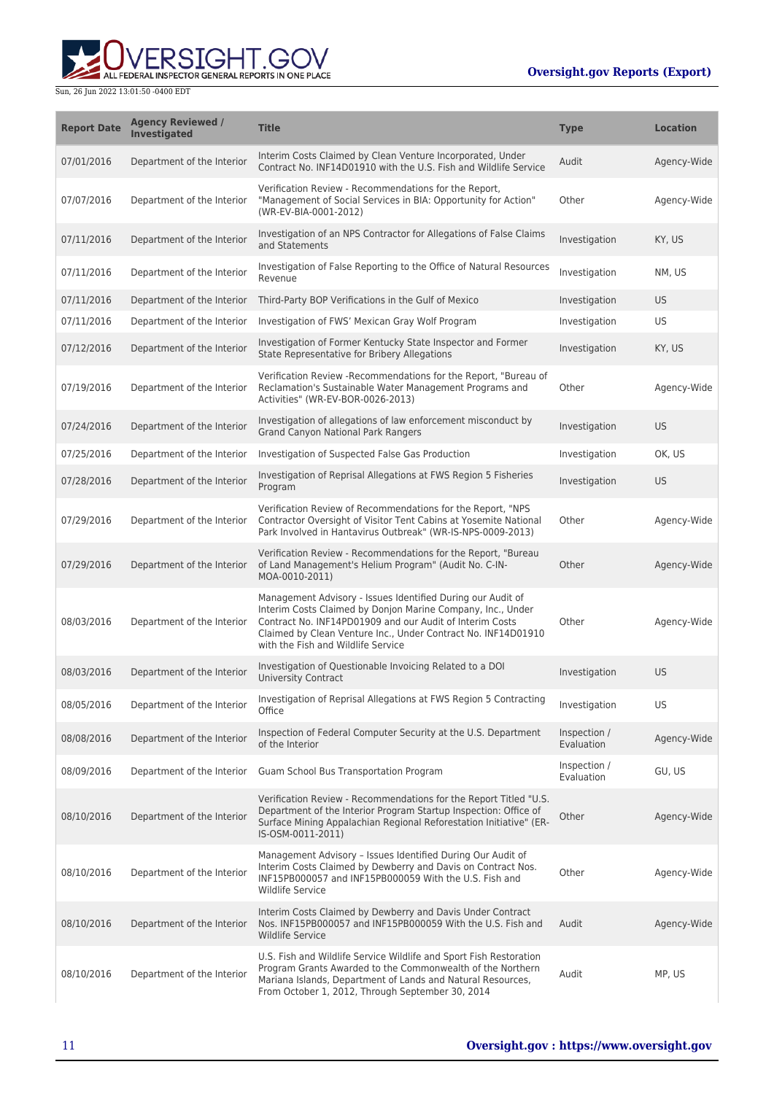

| <b>Report Date</b> | <b>Agency Reviewed /</b><br>Investigated | <b>Title</b>                                                                                                                                                                                                                                                                                  | <b>Type</b>                | <b>Location</b> |
|--------------------|------------------------------------------|-----------------------------------------------------------------------------------------------------------------------------------------------------------------------------------------------------------------------------------------------------------------------------------------------|----------------------------|-----------------|
| 07/01/2016         | Department of the Interior               | Interim Costs Claimed by Clean Venture Incorporated, Under<br>Contract No. INF14D01910 with the U.S. Fish and Wildlife Service                                                                                                                                                                | Audit                      | Agency-Wide     |
| 07/07/2016         | Department of the Interior               | Verification Review - Recommendations for the Report.<br>"Management of Social Services in BIA: Opportunity for Action"<br>(WR-EV-BIA-0001-2012)                                                                                                                                              | Other                      | Agency-Wide     |
| 07/11/2016         | Department of the Interior               | Investigation of an NPS Contractor for Allegations of False Claims<br>and Statements                                                                                                                                                                                                          | Investigation              | KY, US          |
| 07/11/2016         | Department of the Interior               | Investigation of False Reporting to the Office of Natural Resources<br>Revenue                                                                                                                                                                                                                | Investigation              | NM, US          |
| 07/11/2016         | Department of the Interior               | Third-Party BOP Verifications in the Gulf of Mexico                                                                                                                                                                                                                                           | Investigation              | <b>US</b>       |
| 07/11/2016         | Department of the Interior               | Investigation of FWS' Mexican Gray Wolf Program                                                                                                                                                                                                                                               | Investigation              | US              |
| 07/12/2016         | Department of the Interior               | Investigation of Former Kentucky State Inspector and Former<br>State Representative for Bribery Allegations                                                                                                                                                                                   | Investigation              | KY, US          |
| 07/19/2016         | Department of the Interior               | Verification Review - Recommendations for the Report, "Bureau of<br>Reclamation's Sustainable Water Management Programs and<br>Activities" (WR-EV-BOR-0026-2013)                                                                                                                              | Other                      | Agency-Wide     |
| 07/24/2016         | Department of the Interior               | Investigation of allegations of law enforcement misconduct by<br><b>Grand Canyon National Park Rangers</b>                                                                                                                                                                                    | Investigation              | <b>US</b>       |
| 07/25/2016         | Department of the Interior               | Investigation of Suspected False Gas Production                                                                                                                                                                                                                                               | Investigation              | OK, US          |
| 07/28/2016         | Department of the Interior               | Investigation of Reprisal Allegations at FWS Region 5 Fisheries<br>Program                                                                                                                                                                                                                    | Investigation              | <b>US</b>       |
| 07/29/2016         | Department of the Interior               | Verification Review of Recommendations for the Report, "NPS<br>Contractor Oversight of Visitor Tent Cabins at Yosemite National<br>Park Involved in Hantavirus Outbreak" (WR-IS-NPS-0009-2013)                                                                                                | Other                      | Agency-Wide     |
| 07/29/2016         | Department of the Interior               | Verification Review - Recommendations for the Report, "Bureau<br>of Land Management's Helium Program" (Audit No. C-IN-<br>MOA-0010-2011)                                                                                                                                                      | Other                      | Agency-Wide     |
| 08/03/2016         | Department of the Interior               | Management Advisory - Issues Identified During our Audit of<br>Interim Costs Claimed by Donjon Marine Company, Inc., Under<br>Contract No. INF14PD01909 and our Audit of Interim Costs<br>Claimed by Clean Venture Inc., Under Contract No. INF14D01910<br>with the Fish and Wildlife Service | Other                      | Agency-Wide     |
| 08/03/2016         | Department of the Interior               | Investigation of Questionable Invoicing Related to a DOI<br><b>University Contract</b>                                                                                                                                                                                                        | Investigation              | <b>US</b>       |
| 08/05/2016         | Department of the Interior               | Investigation of Reprisal Allegations at FWS Region 5 Contracting<br>Office                                                                                                                                                                                                                   | Investigation              | US              |
| 08/08/2016         | Department of the Interior               | Inspection of Federal Computer Security at the U.S. Department<br>of the Interior                                                                                                                                                                                                             | Inspection /<br>Evaluation | Agency-Wide     |
| 08/09/2016         | Department of the Interior               | Guam School Bus Transportation Program                                                                                                                                                                                                                                                        | Inspection /<br>Evaluation | GU, US          |
| 08/10/2016         | Department of the Interior               | Verification Review - Recommendations for the Report Titled "U.S.<br>Department of the Interior Program Startup Inspection: Office of<br>Surface Mining Appalachian Regional Reforestation Initiative" (ER-<br>IS-OSM-0011-2011)                                                              | Other                      | Agency-Wide     |
| 08/10/2016         | Department of the Interior               | Management Advisory - Issues Identified During Our Audit of<br>Interim Costs Claimed by Dewberry and Davis on Contract Nos.<br>INF15PB000057 and INF15PB000059 With the U.S. Fish and<br><b>Wildlife Service</b>                                                                              | Other                      | Agency-Wide     |
| 08/10/2016         | Department of the Interior               | Interim Costs Claimed by Dewberry and Davis Under Contract<br>Nos. INF15PB000057 and INF15PB000059 With the U.S. Fish and<br><b>Wildlife Service</b>                                                                                                                                          | Audit                      | Agency-Wide     |
| 08/10/2016         | Department of the Interior               | U.S. Fish and Wildlife Service Wildlife and Sport Fish Restoration<br>Program Grants Awarded to the Commonwealth of the Northern<br>Mariana Islands, Department of Lands and Natural Resources,<br>From October 1, 2012, Through September 30, 2014                                           | Audit                      | MP, US          |